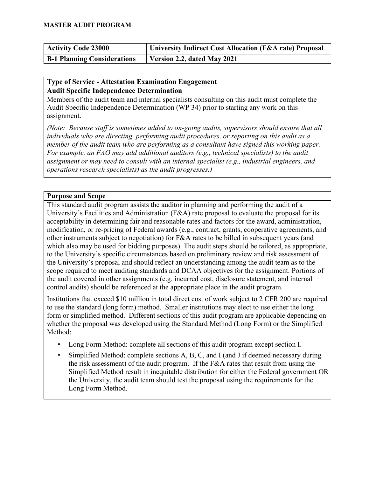| <b>Activity Code 23000</b>         | University Indirect Cost Allocation (F&A rate) Proposal |
|------------------------------------|---------------------------------------------------------|
| <b>B-1 Planning Considerations</b> | Version 2.2, dated May 2021                             |

### **Type of Service - Attestation Examination Engagement Audit Specific Independence Determination**

Members of the audit team and internal specialists consulting on this audit must complete the Audit Specific Independence Determination (WP 34) prior to starting any work on this assignment.

*(Note: Because staff is sometimes added to on-going audits, supervisors should ensure that all individuals who are directing, performing audit procedures, or reporting on this audit as a member of the audit team who are performing as a consultant have signed this working paper. For example, an FAO may add additional auditors (e.g., technical specialists) to the audit assignment or may need to consult with an internal specialist (e.g., industrial engineers, and operations research specialists) as the audit progresses.)*

## **Purpose and Scope**

This standard audit program assists the auditor in planning and performing the audit of a University's Facilities and Administration (F&A) rate proposal to evaluate the proposal for its acceptability in determining fair and reasonable rates and factors for the award, administration, modification, or re-pricing of Federal awards (e.g., contract, grants, cooperative agreements, and other instruments subject to negotiation) for F&A rates to be billed in subsequent years (and which also may be used for bidding purposes). The audit steps should be tailored, as appropriate, to the University's specific circumstances based on preliminary review and risk assessment of the University's proposal and should reflect an understanding among the audit team as to the scope required to meet auditing standards and DCAA objectives for the assignment. Portions of the audit covered in other assignments (e.g. incurred cost, disclosure statement, and internal control audits) should be referenced at the appropriate place in the audit program.

Institutions that exceed \$10 million in total direct cost of work subject to 2 CFR 200 are required to use the standard (long form) method. Smaller institutions may elect to use either the long form or simplified method. Different sections of this audit program are applicable depending on whether the proposal was developed using the Standard Method (Long Form) or the Simplified Method:

- Long Form Method: complete all sections of this audit program except section I.
- Simplified Method: complete sections A, B, C, and I (and J if deemed necessary during the risk assessment) of the audit program. If the  $F&A$  rates that result from using the Simplified Method result in inequitable distribution for either the Federal government OR the University, the audit team should test the proposal using the requirements for the Long Form Method.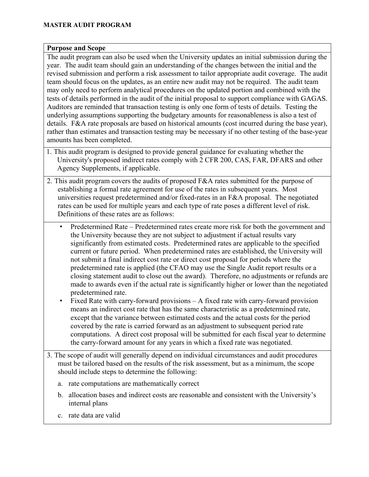### **Purpose and Scope**

The audit program can also be used when the University updates an initial submission during the year. The audit team should gain an understanding of the changes between the initial and the revised submission and perform a risk assessment to tailor appropriate audit coverage. The audit team should focus on the updates, as an entire new audit may not be required. The audit team may only need to perform analytical procedures on the updated portion and combined with the tests of details performed in the audit of the initial proposal to support compliance with GAGAS. Auditors are reminded that transaction testing is only one form of tests of details. Testing the underlying assumptions supporting the budgetary amounts for reasonableness is also a test of details. F&A rate proposals are based on historical amounts (cost incurred during the base year), rather than estimates and transaction testing may be necessary if no other testing of the base-year amounts has been completed.

- 1. This audit program is designed to provide general guidance for evaluating whether the University's proposed indirect rates comply with 2 CFR 200, CAS, FAR, DFARS and other Agency Supplements, if applicable.
- 2. This audit program covers the audits of proposed F&A rates submitted for the purpose of establishing a formal rate agreement for use of the rates in subsequent years. Most universities request predetermined and/or fixed-rates in an F&A proposal. The negotiated rates can be used for multiple years and each type of rate poses a different level of risk. Definitions of these rates are as follows:
	- Predetermined Rate Predetermined rates create more risk for both the government and the University because they are not subject to adjustment if actual results vary significantly from estimated costs. Predetermined rates are applicable to the specified current or future period. When predetermined rates are established, the University will not submit a final indirect cost rate or direct cost proposal for periods where the predetermined rate is applied (the CFAO may use the Single Audit report results or a closing statement audit to close out the award). Therefore, no adjustments or refunds are made to awards even if the actual rate is significantly higher or lower than the negotiated predetermined rate.
	- Fixed Rate with carry-forward provisions A fixed rate with carry-forward provision means an indirect cost rate that has the same characteristic as a predetermined rate, except that the variance between estimated costs and the actual costs for the period covered by the rate is carried forward as an adjustment to subsequent period rate computations. A direct cost proposal will be submitted for each fiscal year to determine the carry-forward amount for any years in which a fixed rate was negotiated.
- 3. The scope of audit will generally depend on individual circumstances and audit procedures must be tailored based on the results of the risk assessment, but as a minimum, the scope should include steps to determine the following:
	- a. rate computations are mathematically correct
	- b. allocation bases and indirect costs are reasonable and consistent with the University's internal plans
	- c. rate data are valid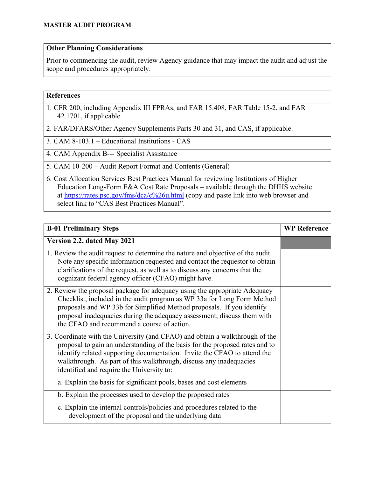### **Other Planning Considerations**

Prior to commencing the audit, review Agency guidance that may impact the audit and adjust the scope and procedures appropriately.

#### **References**

- 1. CFR 200, including Appendix III FPRAs, and FAR 15.408, FAR Table 15-2, and FAR 42.1701, if applicable.
- 2. FAR/DFARS/Other Agency Supplements Parts 30 and 31, and CAS, if applicable.
- 3. CAM 8-103.1 Educational Institutions CAS
- 4. CAM Appendix B--- Specialist Assistance
- 5. CAM 10-200 Audit Report Format and Contents (General)
- 6. Cost Allocation Services Best Practices Manual for reviewing Institutions of Higher Education Long-Form F&A Cost Rate Proposals – available through the DHHS website at<https://rates.psc.gov/fms/dca/c%26u.html> (copy and paste link into web browser and select link to "CAS Best Practices Manual".

| <b>B-01 Preliminary Steps</b>                                                                                                                                                                                                                                                                                                                               | <b>WP Reference</b> |
|-------------------------------------------------------------------------------------------------------------------------------------------------------------------------------------------------------------------------------------------------------------------------------------------------------------------------------------------------------------|---------------------|
| Version 2.2, dated May 2021                                                                                                                                                                                                                                                                                                                                 |                     |
| 1. Review the audit request to determine the nature and objective of the audit.<br>Note any specific information requested and contact the requestor to obtain<br>clarifications of the request, as well as to discuss any concerns that the<br>cognizant federal agency officer (CFAO) might have.                                                         |                     |
| 2. Review the proposal package for adequacy using the appropriate Adequacy<br>Checklist, included in the audit program as WP 33a for Long Form Method<br>proposals and WP 33b for Simplified Method proposals. If you identify<br>proposal inadequacies during the adequacy assessment, discuss them with<br>the CFAO and recommend a course of action.     |                     |
| 3. Coordinate with the University (and CFAO) and obtain a walkthrough of the<br>proposal to gain an understanding of the basis for the proposed rates and to<br>identify related supporting documentation. Invite the CFAO to attend the<br>walkthrough. As part of this walkthrough, discuss any inadequacies<br>identified and require the University to: |                     |
| a. Explain the basis for significant pools, bases and cost elements                                                                                                                                                                                                                                                                                         |                     |
| b. Explain the processes used to develop the proposed rates                                                                                                                                                                                                                                                                                                 |                     |
| c. Explain the internal controls/policies and procedures related to the<br>development of the proposal and the underlying data                                                                                                                                                                                                                              |                     |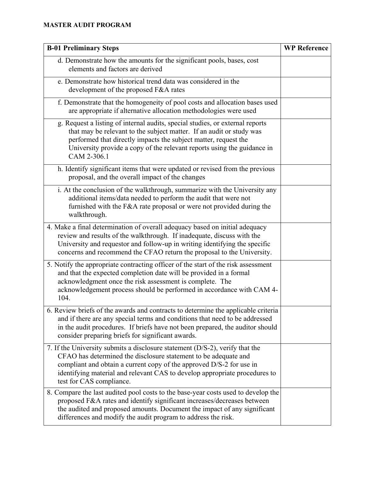# **MASTER AUDIT PROGRAM**

| <b>B-01 Preliminary Steps</b>                                                                                                                                                                                                                                                                                                     | <b>WP Reference</b> |
|-----------------------------------------------------------------------------------------------------------------------------------------------------------------------------------------------------------------------------------------------------------------------------------------------------------------------------------|---------------------|
| d. Demonstrate how the amounts for the significant pools, bases, cost<br>elements and factors are derived                                                                                                                                                                                                                         |                     |
| e. Demonstrate how historical trend data was considered in the<br>development of the proposed F&A rates                                                                                                                                                                                                                           |                     |
| f. Demonstrate that the homogeneity of pool costs and allocation bases used<br>are appropriate if alternative allocation methodologies were used                                                                                                                                                                                  |                     |
| g. Request a listing of internal audits, special studies, or external reports<br>that may be relevant to the subject matter. If an audit or study was<br>performed that directly impacts the subject matter, request the<br>University provide a copy of the relevant reports using the guidance in<br>CAM 2-306.1                |                     |
| h. Identify significant items that were updated or revised from the previous<br>proposal, and the overall impact of the changes                                                                                                                                                                                                   |                     |
| i. At the conclusion of the walkthrough, summarize with the University any<br>additional items/data needed to perform the audit that were not<br>furnished with the F&A rate proposal or were not provided during the<br>walkthrough.                                                                                             |                     |
| 4. Make a final determination of overall adequacy based on initial adequacy<br>review and results of the walkthrough. If inadequate, discuss with the<br>University and requestor and follow-up in writing identifying the specific<br>concerns and recommend the CFAO return the proposal to the University.                     |                     |
| 5. Notify the appropriate contracting officer of the start of the risk assessment<br>and that the expected completion date will be provided in a formal<br>acknowledgment once the risk assessment is complete. The<br>acknowledgement process should be performed in accordance with CAM 4-<br>104.                              |                     |
| 6. Review briefs of the awards and contracts to determine the applicable criteria<br>and if there are any special terms and conditions that need to be addressed<br>in the audit procedures. If briefs have not been prepared, the auditor should<br>consider preparing briefs for significant awards.                            |                     |
| 7. If the University submits a disclosure statement (D/S-2), verify that the<br>CFAO has determined the disclosure statement to be adequate and<br>compliant and obtain a current copy of the approved D/S-2 for use in<br>identifying material and relevant CAS to develop appropriate procedures to<br>test for CAS compliance. |                     |
| 8. Compare the last audited pool costs to the base-year costs used to develop the<br>proposed F&A rates and identify significant increases/decreases between<br>the audited and proposed amounts. Document the impact of any significant<br>differences and modify the audit program to address the risk.                         |                     |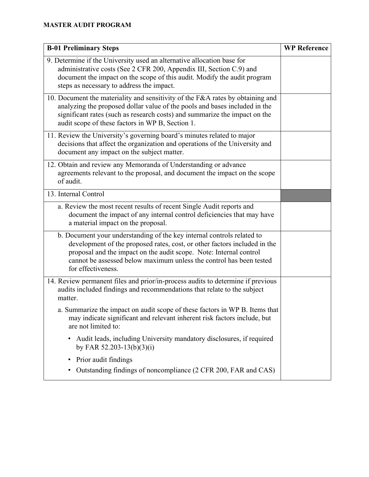| <b>B-01 Preliminary Steps</b>                                                                                                                                                                                                                                                                                          | <b>WP Reference</b> |
|------------------------------------------------------------------------------------------------------------------------------------------------------------------------------------------------------------------------------------------------------------------------------------------------------------------------|---------------------|
| 9. Determine if the University used an alternative allocation base for<br>administrative costs (See 2 CFR 200, Appendix III, Section C.9) and<br>document the impact on the scope of this audit. Modify the audit program<br>steps as necessary to address the impact.                                                 |                     |
| 10. Document the materiality and sensitivity of the F&A rates by obtaining and<br>analyzing the proposed dollar value of the pools and bases included in the<br>significant rates (such as research costs) and summarize the impact on the<br>audit scope of these factors in WP B, Section 1.                         |                     |
| 11. Review the University's governing board's minutes related to major<br>decisions that affect the organization and operations of the University and<br>document any impact on the subject matter.                                                                                                                    |                     |
| 12. Obtain and review any Memoranda of Understanding or advance<br>agreements relevant to the proposal, and document the impact on the scope<br>of audit.                                                                                                                                                              |                     |
| 13. Internal Control                                                                                                                                                                                                                                                                                                   |                     |
| a. Review the most recent results of recent Single Audit reports and<br>document the impact of any internal control deficiencies that may have<br>a material impact on the proposal.                                                                                                                                   |                     |
| b. Document your understanding of the key internal controls related to<br>development of the proposed rates, cost, or other factors included in the<br>proposal and the impact on the audit scope. Note: Internal control<br>cannot be assessed below maximum unless the control has been tested<br>for effectiveness. |                     |
| 14. Review permanent files and prior/in-process audits to determine if previous<br>audits included findings and recommendations that relate to the subject<br>matter.                                                                                                                                                  |                     |
| a. Summarize the impact on audit scope of these factors in WP B. Items that<br>may indicate significant and relevant inherent risk factors include, but<br>are not limited to:                                                                                                                                         |                     |
| Audit leads, including University mandatory disclosures, if required<br>by FAR 52.203-13(b)(3)(i)                                                                                                                                                                                                                      |                     |
| Prior audit findings<br>٠                                                                                                                                                                                                                                                                                              |                     |
| Outstanding findings of noncompliance (2 CFR 200, FAR and CAS)                                                                                                                                                                                                                                                         |                     |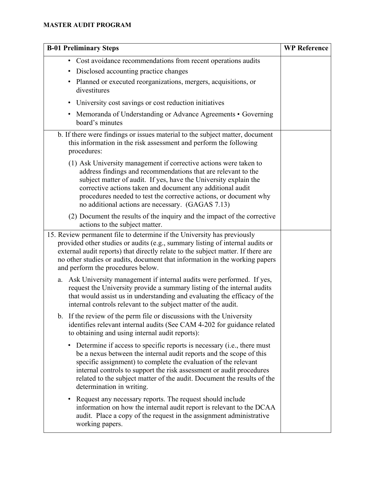# **MASTER AUDIT PROGRAM**

| <b>B-01 Preliminary Steps</b>                                                                                                                                                                                                                                                                                                                                                                                 | <b>WP Reference</b> |
|---------------------------------------------------------------------------------------------------------------------------------------------------------------------------------------------------------------------------------------------------------------------------------------------------------------------------------------------------------------------------------------------------------------|---------------------|
| • Cost avoidance recommendations from recent operations audits<br>• Disclosed accounting practice changes<br>• Planned or executed reorganizations, mergers, acquisitions, or<br>divestitures                                                                                                                                                                                                                 |                     |
| • University cost savings or cost reduction initiatives                                                                                                                                                                                                                                                                                                                                                       |                     |
| • Memoranda of Understanding or Advance Agreements • Governing<br>board's minutes                                                                                                                                                                                                                                                                                                                             |                     |
| b. If there were findings or issues material to the subject matter, document<br>this information in the risk assessment and perform the following<br>procedures:                                                                                                                                                                                                                                              |                     |
| (1) Ask University management if corrective actions were taken to<br>address findings and recommendations that are relevant to the<br>subject matter of audit. If yes, have the University explain the<br>corrective actions taken and document any additional audit<br>procedures needed to test the corrective actions, or document why<br>no additional actions are necessary. (GAGAS 7.13)                |                     |
| (2) Document the results of the inquiry and the impact of the corrective<br>actions to the subject matter.                                                                                                                                                                                                                                                                                                    |                     |
| 15. Review permanent file to determine if the University has previously<br>provided other studies or audits (e.g., summary listing of internal audits or<br>external audit reports) that directly relate to the subject matter. If there are<br>no other studies or audits, document that information in the working papers<br>and perform the procedures below.                                              |                     |
| a. Ask University management if internal audits were performed. If yes,<br>request the University provide a summary listing of the internal audits<br>that would assist us in understanding and evaluating the efficacy of the<br>internal controls relevant to the subject matter of the audit.                                                                                                              |                     |
| b. If the review of the perm file or discussions with the University<br>identifies relevant internal audits (See CAM 4-202 for guidance related<br>to obtaining and using internal audit reports):                                                                                                                                                                                                            |                     |
| Determine if access to specific reports is necessary (i.e., there must<br>$\bullet$<br>be a nexus between the internal audit reports and the scope of this<br>specific assignment) to complete the evaluation of the relevant<br>internal controls to support the risk assessment or audit procedures<br>related to the subject matter of the audit. Document the results of the<br>determination in writing. |                     |
| Request any necessary reports. The request should include<br>$\bullet$<br>information on how the internal audit report is relevant to the DCAA<br>audit. Place a copy of the request in the assignment administrative<br>working papers.                                                                                                                                                                      |                     |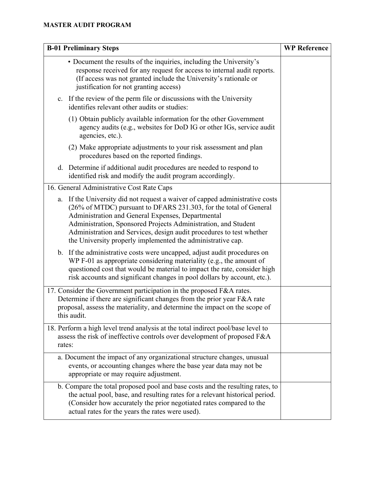| <b>B-01 Preliminary Steps</b>                                                                                                                                                                                                                                                                                                                                                                                   | <b>WP Reference</b> |
|-----------------------------------------------------------------------------------------------------------------------------------------------------------------------------------------------------------------------------------------------------------------------------------------------------------------------------------------------------------------------------------------------------------------|---------------------|
| • Document the results of the inquiries, including the University's<br>response received for any request for access to internal audit reports.<br>(If access was not granted include the University's rationale or<br>justification for not granting access)                                                                                                                                                    |                     |
| c. If the review of the perm file or discussions with the University<br>identifies relevant other audits or studies:                                                                                                                                                                                                                                                                                            |                     |
| (1) Obtain publicly available information for the other Government<br>agency audits (e.g., websites for DoD IG or other IGs, service audit<br>agencies, etc.).                                                                                                                                                                                                                                                  |                     |
| (2) Make appropriate adjustments to your risk assessment and plan<br>procedures based on the reported findings.                                                                                                                                                                                                                                                                                                 |                     |
| d. Determine if additional audit procedures are needed to respond to<br>identified risk and modify the audit program accordingly.                                                                                                                                                                                                                                                                               |                     |
| 16. General Administrative Cost Rate Caps                                                                                                                                                                                                                                                                                                                                                                       |                     |
| a. If the University did not request a waiver of capped administrative costs<br>(26% of MTDC) pursuant to DFARS 231.303, for the total of General<br>Administration and General Expenses, Departmental<br>Administration, Sponsored Projects Administration, and Student<br>Administration and Services, design audit procedures to test whether<br>the University properly implemented the administrative cap. |                     |
| b. If the administrative costs were uncapped, adjust audit procedures on<br>WP F-01 as appropriate considering materiality (e.g., the amount of<br>questioned cost that would be material to impact the rate, consider high<br>risk accounts and significant changes in pool dollars by account, etc.).                                                                                                         |                     |
| 17. Consider the Government participation in the proposed F&A rates.<br>Determine if there are significant changes from the prior year F&A rate<br>proposal, assess the materiality, and determine the impact on the scope of<br>this audit.                                                                                                                                                                    |                     |
| 18. Perform a high level trend analysis at the total indirect pool/base level to<br>assess the risk of ineffective controls over development of proposed F&A<br>rates:                                                                                                                                                                                                                                          |                     |
| a. Document the impact of any organizational structure changes, unusual<br>events, or accounting changes where the base year data may not be<br>appropriate or may require adjustment.                                                                                                                                                                                                                          |                     |
| b. Compare the total proposed pool and base costs and the resulting rates, to<br>the actual pool, base, and resulting rates for a relevant historical period.<br>(Consider how accurately the prior negotiated rates compared to the<br>actual rates for the years the rates were used).                                                                                                                        |                     |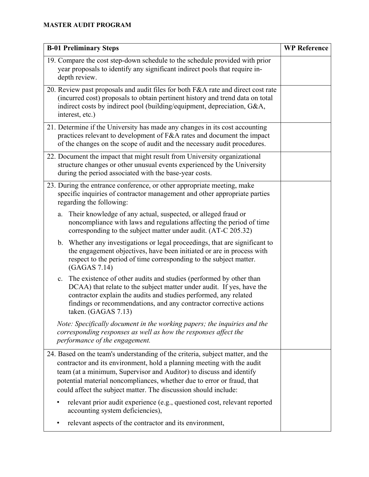| <b>B-01 Preliminary Steps</b>                                                                                                                                                                                                                                                                                                                                                | <b>WP Reference</b> |
|------------------------------------------------------------------------------------------------------------------------------------------------------------------------------------------------------------------------------------------------------------------------------------------------------------------------------------------------------------------------------|---------------------|
| 19. Compare the cost step-down schedule to the schedule provided with prior<br>year proposals to identify any significant indirect pools that require in-<br>depth review.                                                                                                                                                                                                   |                     |
| 20. Review past proposals and audit files for both F&A rate and direct cost rate<br>(incurred cost) proposals to obtain pertinent history and trend data on total<br>indirect costs by indirect pool (building/equipment, depreciation, G&A,<br>interest, etc.)                                                                                                              |                     |
| 21. Determine if the University has made any changes in its cost accounting<br>practices relevant to development of F&A rates and document the impact<br>of the changes on the scope of audit and the necessary audit procedures.                                                                                                                                            |                     |
| 22. Document the impact that might result from University organizational<br>structure changes or other unusual events experienced by the University<br>during the period associated with the base-year costs.                                                                                                                                                                |                     |
| 23. During the entrance conference, or other appropriate meeting, make<br>specific inquiries of contractor management and other appropriate parties<br>regarding the following:                                                                                                                                                                                              |                     |
| Their knowledge of any actual, suspected, or alleged fraud or<br>a.<br>noncompliance with laws and regulations affecting the period of time<br>corresponding to the subject matter under audit. (AT-C 205.32)                                                                                                                                                                |                     |
| b. Whether any investigations or legal proceedings, that are significant to<br>the engagement objectives, have been initiated or are in process with<br>respect to the period of time corresponding to the subject matter.<br>(GAGAS 7.14)                                                                                                                                   |                     |
| The existence of other audits and studies (performed by other than<br>c.<br>DCAA) that relate to the subject matter under audit. If yes, have the<br>contractor explain the audits and studies performed, any related<br>findings or recommendations, and any contractor corrective actions<br>taken. (GAGAS 7.13)                                                           |                     |
| Note: Specifically document in the working papers; the inquiries and the<br>corresponding responses as well as how the responses affect the<br>performance of the engagement.                                                                                                                                                                                                |                     |
| 24. Based on the team's understanding of the criteria, subject matter, and the<br>contractor and its environment, hold a planning meeting with the audit<br>team (at a minimum, Supervisor and Auditor) to discuss and identify<br>potential material noncompliances, whether due to error or fraud, that<br>could affect the subject matter. The discussion should include: |                     |
| relevant prior audit experience (e.g., questioned cost, relevant reported<br>accounting system deficiencies),                                                                                                                                                                                                                                                                |                     |
| relevant aspects of the contractor and its environment,                                                                                                                                                                                                                                                                                                                      |                     |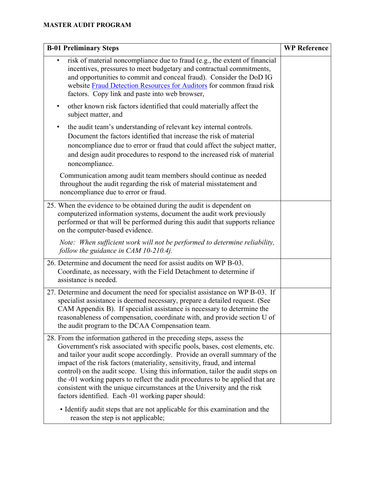| <b>B-01 Preliminary Steps</b>                                                                                                                                                                                                                                                                                                                                                                                                                                                                                                                                                                                       | <b>WP Reference</b> |
|---------------------------------------------------------------------------------------------------------------------------------------------------------------------------------------------------------------------------------------------------------------------------------------------------------------------------------------------------------------------------------------------------------------------------------------------------------------------------------------------------------------------------------------------------------------------------------------------------------------------|---------------------|
| risk of material noncompliance due to fraud (e.g., the extent of financial<br>incentives, pressures to meet budgetary and contractual commitments,<br>and opportunities to commit and conceal fraud). Consider the DoD IG<br>website Fraud Detection Resources for Auditors for common fraud risk<br>factors. Copy link and paste into web browser,                                                                                                                                                                                                                                                                 |                     |
| other known risk factors identified that could materially affect the<br>$\bullet$<br>subject matter, and                                                                                                                                                                                                                                                                                                                                                                                                                                                                                                            |                     |
| the audit team's understanding of relevant key internal controls.<br>$\bullet$<br>Document the factors identified that increase the risk of material<br>noncompliance due to error or fraud that could affect the subject matter,<br>and design audit procedures to respond to the increased risk of material<br>noncompliance.                                                                                                                                                                                                                                                                                     |                     |
| Communication among audit team members should continue as needed<br>throughout the audit regarding the risk of material misstatement and<br>noncompliance due to error or fraud.                                                                                                                                                                                                                                                                                                                                                                                                                                    |                     |
| 25. When the evidence to be obtained during the audit is dependent on<br>computerized information systems, document the audit work previously<br>performed or that will be performed during this audit that supports reliance<br>on the computer-based evidence.                                                                                                                                                                                                                                                                                                                                                    |                     |
| Note: When sufficient work will not be performed to determine reliability,<br>follow the guidance in CAM $10-210.4j$ .                                                                                                                                                                                                                                                                                                                                                                                                                                                                                              |                     |
| 26. Determine and document the need for assist audits on WP B-03.<br>Coordinate, as necessary, with the Field Detachment to determine if<br>assistance is needed.                                                                                                                                                                                                                                                                                                                                                                                                                                                   |                     |
| 27. Determine and document the need for specialist assistance on WP B-03. If<br>specialist assistance is deemed necessary, prepare a detailed request. (See<br>CAM Appendix B). If specialist assistance is necessary to determine the<br>reasonableness of compensation, coordinate with, and provide section U of<br>the audit program to the DCAA Compensation team.                                                                                                                                                                                                                                             |                     |
| 28. From the information gathered in the preceding steps, assess the<br>Government's risk associated with specific pools, bases, cost elements, etc.<br>and tailor your audit scope accordingly. Provide an overall summary of the<br>impact of the risk factors (materiality, sensitivity, fraud, and internal<br>control) on the audit scope. Using this information, tailor the audit steps on<br>the -01 working papers to reflect the audit procedures to be applied that are<br>consistent with the unique circumstances at the University and the risk<br>factors identified. Each -01 working paper should: |                     |
| • Identify audit steps that are not applicable for this examination and the<br>reason the step is not applicable;                                                                                                                                                                                                                                                                                                                                                                                                                                                                                                   |                     |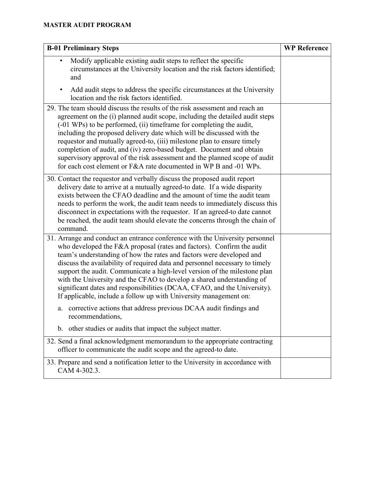# **MASTER AUDIT PROGRAM**

| <b>B-01 Preliminary Steps</b>                                                                                                                                                                                                                                                                                                                                                                                                                                                                                                                                                                                       | <b>WP Reference</b> |
|---------------------------------------------------------------------------------------------------------------------------------------------------------------------------------------------------------------------------------------------------------------------------------------------------------------------------------------------------------------------------------------------------------------------------------------------------------------------------------------------------------------------------------------------------------------------------------------------------------------------|---------------------|
| Modify applicable existing audit steps to reflect the specific<br>circumstances at the University location and the risk factors identified;<br>and                                                                                                                                                                                                                                                                                                                                                                                                                                                                  |                     |
| Add audit steps to address the specific circumstances at the University<br>location and the risk factors identified.                                                                                                                                                                                                                                                                                                                                                                                                                                                                                                |                     |
| 29. The team should discuss the results of the risk assessment and reach an<br>agreement on the (i) planned audit scope, including the detailed audit steps<br>(-01 WPs) to be performed, (ii) timeframe for completing the audit,<br>including the proposed delivery date which will be discussed with the<br>requestor and mutually agreed-to, (iii) milestone plan to ensure timely<br>completion of audit, and (iv) zero-based budget. Document and obtain<br>supervisory approval of the risk assessment and the planned scope of audit<br>for each cost element or F&A rate documented in WP B and -01 WPs.   |                     |
| 30. Contact the requestor and verbally discuss the proposed audit report<br>delivery date to arrive at a mutually agreed-to date. If a wide disparity<br>exists between the CFAO deadline and the amount of time the audit team<br>needs to perform the work, the audit team needs to immediately discuss this<br>disconnect in expectations with the requestor. If an agreed-to date cannot<br>be reached, the audit team should elevate the concerns through the chain of<br>command.                                                                                                                             |                     |
| 31. Arrange and conduct an entrance conference with the University personnel<br>who developed the F&A proposal (rates and factors). Confirm the audit<br>team's understanding of how the rates and factors were developed and<br>discuss the availability of required data and personnel necessary to timely<br>support the audit. Communicate a high-level version of the milestone plan<br>with the University and the CFAO to develop a shared understanding of<br>significant dates and responsibilities (DCAA, CFAO, and the University).<br>If applicable, include a follow up with University management on: |                     |
| a. corrective actions that address previous DCAA audit findings and<br>recommendations,                                                                                                                                                                                                                                                                                                                                                                                                                                                                                                                             |                     |
| other studies or audits that impact the subject matter.<br>b.                                                                                                                                                                                                                                                                                                                                                                                                                                                                                                                                                       |                     |
| 32. Send a final acknowledgment memorandum to the appropriate contracting<br>officer to communicate the audit scope and the agreed-to date.                                                                                                                                                                                                                                                                                                                                                                                                                                                                         |                     |
| 33. Prepare and send a notification letter to the University in accordance with<br>CAM 4-302.3.                                                                                                                                                                                                                                                                                                                                                                                                                                                                                                                     |                     |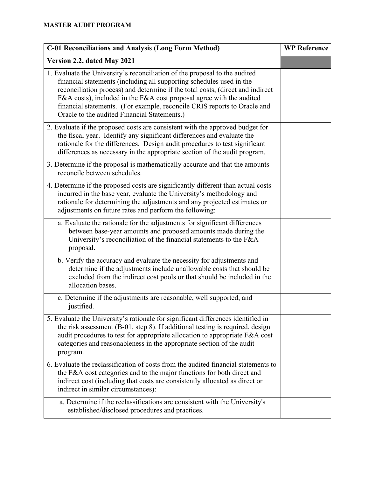| <b>C-01 Reconciliations and Analysis (Long Form Method)</b>                                                                                                                                                                                                                                                                                                                                                                              | <b>WP Reference</b> |
|------------------------------------------------------------------------------------------------------------------------------------------------------------------------------------------------------------------------------------------------------------------------------------------------------------------------------------------------------------------------------------------------------------------------------------------|---------------------|
| Version 2.2, dated May 2021                                                                                                                                                                                                                                                                                                                                                                                                              |                     |
| 1. Evaluate the University's reconciliation of the proposal to the audited<br>financial statements (including all supporting schedules used in the<br>reconciliation process) and determine if the total costs, (direct and indirect<br>F&A costs), included in the F&A cost proposal agree with the audited<br>financial statements. (For example, reconcile CRIS reports to Oracle and<br>Oracle to the audited Financial Statements.) |                     |
| 2. Evaluate if the proposed costs are consistent with the approved budget for<br>the fiscal year. Identify any significant differences and evaluate the<br>rationale for the differences. Design audit procedures to test significant<br>differences as necessary in the appropriate section of the audit program.                                                                                                                       |                     |
| 3. Determine if the proposal is mathematically accurate and that the amounts<br>reconcile between schedules.                                                                                                                                                                                                                                                                                                                             |                     |
| 4. Determine if the proposed costs are significantly different than actual costs<br>incurred in the base year, evaluate the University's methodology and<br>rationale for determining the adjustments and any projected estimates or<br>adjustments on future rates and perform the following:                                                                                                                                           |                     |
| a. Evaluate the rationale for the adjustments for significant differences<br>between base-year amounts and proposed amounts made during the<br>University's reconciliation of the financial statements to the F&A<br>proposal.                                                                                                                                                                                                           |                     |
| b. Verify the accuracy and evaluate the necessity for adjustments and<br>determine if the adjustments include unallowable costs that should be<br>excluded from the indirect cost pools or that should be included in the<br>allocation bases.                                                                                                                                                                                           |                     |
| c. Determine if the adjustments are reasonable, well supported, and<br>justified.                                                                                                                                                                                                                                                                                                                                                        |                     |
| 5. Evaluate the University's rationale for significant differences identified in<br>the risk assessment (B-01, step 8). If additional testing is required, design<br>audit procedures to test for appropriate allocation to appropriate F&A cost<br>categories and reasonableness in the appropriate section of the audit<br>program.                                                                                                    |                     |
| 6. Evaluate the reclassification of costs from the audited financial statements to<br>the F&A cost categories and to the major functions for both direct and<br>indirect cost (including that costs are consistently allocated as direct or<br>indirect in similar circumstances):                                                                                                                                                       |                     |
| a. Determine if the reclassifications are consistent with the University's<br>established/disclosed procedures and practices.                                                                                                                                                                                                                                                                                                            |                     |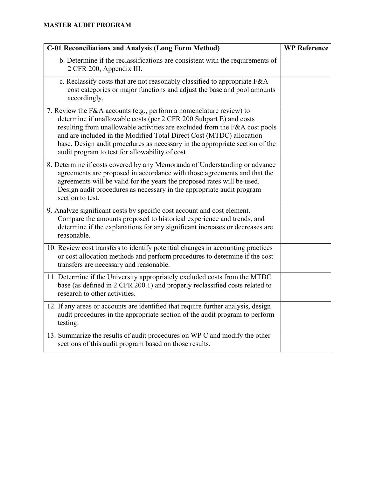| <b>C-01 Reconciliations and Analysis (Long Form Method)</b>                                                                                                                                                                                                                                                                                                                                                                       | <b>WP Reference</b> |
|-----------------------------------------------------------------------------------------------------------------------------------------------------------------------------------------------------------------------------------------------------------------------------------------------------------------------------------------------------------------------------------------------------------------------------------|---------------------|
| b. Determine if the reclassifications are consistent with the requirements of<br>2 CFR 200, Appendix III.                                                                                                                                                                                                                                                                                                                         |                     |
| c. Reclassify costs that are not reasonably classified to appropriate F&A<br>cost categories or major functions and adjust the base and pool amounts<br>accordingly.                                                                                                                                                                                                                                                              |                     |
| 7. Review the F&A accounts (e.g., perform a nomenclature review) to<br>determine if unallowable costs (per 2 CFR 200 Subpart E) and costs<br>resulting from unallowable activities are excluded from the F&A cost pools<br>and are included in the Modified Total Direct Cost (MTDC) allocation<br>base. Design audit procedures as necessary in the appropriate section of the<br>audit program to test for allowability of cost |                     |
| 8. Determine if costs covered by any Memoranda of Understanding or advance<br>agreements are proposed in accordance with those agreements and that the<br>agreements will be valid for the years the proposed rates will be used.<br>Design audit procedures as necessary in the appropriate audit program<br>section to test.                                                                                                    |                     |
| 9. Analyze significant costs by specific cost account and cost element.<br>Compare the amounts proposed to historical experience and trends, and<br>determine if the explanations for any significant increases or decreases are<br>reasonable.                                                                                                                                                                                   |                     |
| 10. Review cost transfers to identify potential changes in accounting practices<br>or cost allocation methods and perform procedures to determine if the cost<br>transfers are necessary and reasonable.                                                                                                                                                                                                                          |                     |
| 11. Determine if the University appropriately excluded costs from the MTDC<br>base (as defined in 2 CFR 200.1) and properly reclassified costs related to<br>research to other activities.                                                                                                                                                                                                                                        |                     |
| 12. If any areas or accounts are identified that require further analysis, design<br>audit procedures in the appropriate section of the audit program to perform<br>testing.                                                                                                                                                                                                                                                      |                     |
| 13. Summarize the results of audit procedures on WP C and modify the other<br>sections of this audit program based on those results.                                                                                                                                                                                                                                                                                              |                     |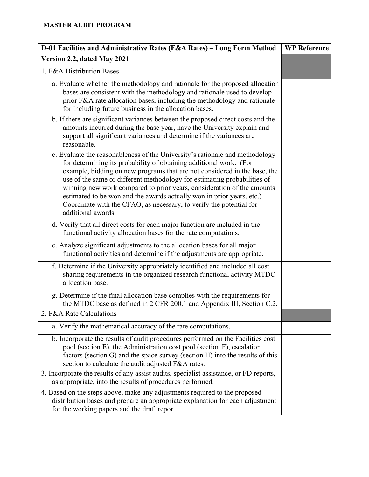| D-01 Facilities and Administrative Rates (F&A Rates) - Long Form Method                                                                                                                                                                                                                                                                                                                                                                                                                                                                                     | <b>WP Reference</b> |
|-------------------------------------------------------------------------------------------------------------------------------------------------------------------------------------------------------------------------------------------------------------------------------------------------------------------------------------------------------------------------------------------------------------------------------------------------------------------------------------------------------------------------------------------------------------|---------------------|
| Version 2.2, dated May 2021                                                                                                                                                                                                                                                                                                                                                                                                                                                                                                                                 |                     |
| 1. F&A Distribution Bases                                                                                                                                                                                                                                                                                                                                                                                                                                                                                                                                   |                     |
| a. Evaluate whether the methodology and rationale for the proposed allocation<br>bases are consistent with the methodology and rationale used to develop<br>prior F&A rate allocation bases, including the methodology and rationale<br>for including future business in the allocation bases.                                                                                                                                                                                                                                                              |                     |
| b. If there are significant variances between the proposed direct costs and the<br>amounts incurred during the base year, have the University explain and<br>support all significant variances and determine if the variances are<br>reasonable.                                                                                                                                                                                                                                                                                                            |                     |
| c. Evaluate the reasonableness of the University's rationale and methodology<br>for determining its probability of obtaining additional work. (For<br>example, bidding on new programs that are not considered in the base, the<br>use of the same or different methodology for estimating probabilities of<br>winning new work compared to prior years, consideration of the amounts<br>estimated to be won and the awards actually won in prior years, etc.)<br>Coordinate with the CFAO, as necessary, to verify the potential for<br>additional awards. |                     |
| d. Verify that all direct costs for each major function are included in the<br>functional activity allocation bases for the rate computations.                                                                                                                                                                                                                                                                                                                                                                                                              |                     |
| e. Analyze significant adjustments to the allocation bases for all major<br>functional activities and determine if the adjustments are appropriate.                                                                                                                                                                                                                                                                                                                                                                                                         |                     |
| f. Determine if the University appropriately identified and included all cost<br>sharing requirements in the organized research functional activity MTDC<br>allocation base.                                                                                                                                                                                                                                                                                                                                                                                |                     |
| g. Determine if the final allocation base complies with the requirements for<br>the MTDC base as defined in 2 CFR 200.1 and Appendix III, Section C.2.                                                                                                                                                                                                                                                                                                                                                                                                      |                     |
| 2. F&A Rate Calculations                                                                                                                                                                                                                                                                                                                                                                                                                                                                                                                                    |                     |
| a. Verify the mathematical accuracy of the rate computations.                                                                                                                                                                                                                                                                                                                                                                                                                                                                                               |                     |
| b. Incorporate the results of audit procedures performed on the Facilities cost<br>pool (section E), the Administration cost pool (section F), escalation<br>factors (section G) and the space survey (section H) into the results of this<br>section to calculate the audit adjusted F&A rates.                                                                                                                                                                                                                                                            |                     |
| 3. Incorporate the results of any assist audits, specialist assistance, or FD reports,<br>as appropriate, into the results of procedures performed.                                                                                                                                                                                                                                                                                                                                                                                                         |                     |
| 4. Based on the steps above, make any adjustments required to the proposed<br>distribution bases and prepare an appropriate explanation for each adjustment<br>for the working papers and the draft report.                                                                                                                                                                                                                                                                                                                                                 |                     |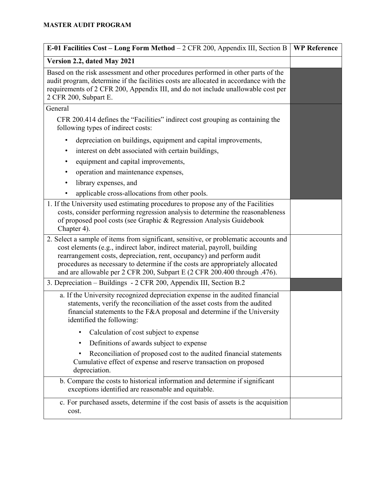| E-01 Facilities Cost - Long Form Method - 2 CFR 200, Appendix III, Section B                                                                                                                                                                                                                                                                                                                            | <b>WP Reference</b> |
|---------------------------------------------------------------------------------------------------------------------------------------------------------------------------------------------------------------------------------------------------------------------------------------------------------------------------------------------------------------------------------------------------------|---------------------|
| Version 2.2, dated May 2021                                                                                                                                                                                                                                                                                                                                                                             |                     |
| Based on the risk assessment and other procedures performed in other parts of the<br>audit program, determine if the facilities costs are allocated in accordance with the<br>requirements of 2 CFR 200, Appendix III, and do not include unallowable cost per<br>2 CFR 200, Subpart E.                                                                                                                 |                     |
| General                                                                                                                                                                                                                                                                                                                                                                                                 |                     |
| CFR 200.414 defines the "Facilities" indirect cost grouping as containing the<br>following types of indirect costs:                                                                                                                                                                                                                                                                                     |                     |
| depreciation on buildings, equipment and capital improvements,<br>٠                                                                                                                                                                                                                                                                                                                                     |                     |
| interest on debt associated with certain buildings,<br>٠                                                                                                                                                                                                                                                                                                                                                |                     |
| equipment and capital improvements,<br>٠                                                                                                                                                                                                                                                                                                                                                                |                     |
| operation and maintenance expenses,<br>٠                                                                                                                                                                                                                                                                                                                                                                |                     |
| library expenses, and<br>$\bullet$                                                                                                                                                                                                                                                                                                                                                                      |                     |
| applicable cross-allocations from other pools.                                                                                                                                                                                                                                                                                                                                                          |                     |
| 1. If the University used estimating procedures to propose any of the Facilities<br>costs, consider performing regression analysis to determine the reasonableness<br>of proposed pool costs (see Graphic & Regression Analysis Guidebook<br>Chapter 4).                                                                                                                                                |                     |
| 2. Select a sample of items from significant, sensitive, or problematic accounts and<br>cost elements (e.g., indirect labor, indirect material, payroll, building<br>rearrangement costs, depreciation, rent, occupancy) and perform audit<br>procedures as necessary to determine if the costs are appropriately allocated<br>and are allowable per 2 CFR 200, Subpart E (2 CFR 200.400 through .476). |                     |
| 3. Depreciation - Buildings - 2 CFR 200, Appendix III, Section B.2                                                                                                                                                                                                                                                                                                                                      |                     |
| a. If the University recognized depreciation expense in the audited financial<br>statements, verify the reconciliation of the asset costs from the audited<br>financial statements to the $F&A$ proposal and determine if the University<br>identified the following:                                                                                                                                   |                     |
| Calculation of cost subject to expense<br>٠                                                                                                                                                                                                                                                                                                                                                             |                     |
| Definitions of awards subject to expense                                                                                                                                                                                                                                                                                                                                                                |                     |
| Reconciliation of proposed cost to the audited financial statements<br>Cumulative effect of expense and reserve transaction on proposed<br>depreciation.                                                                                                                                                                                                                                                |                     |
| b. Compare the costs to historical information and determine if significant<br>exceptions identified are reasonable and equitable.                                                                                                                                                                                                                                                                      |                     |
| c. For purchased assets, determine if the cost basis of assets is the acquisition<br>cost.                                                                                                                                                                                                                                                                                                              |                     |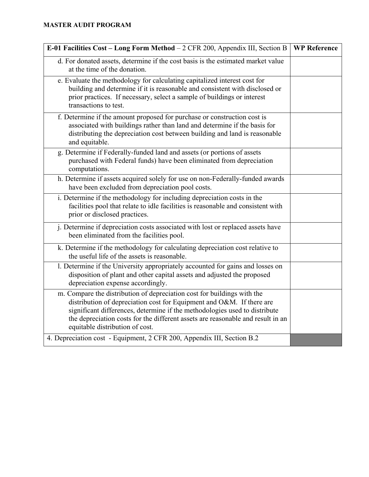| E-01 Facilities Cost - Long Form Method - 2 CFR 200, Appendix III, Section B                                                                                                                                                                                                                                                                         | <b>WP Reference</b> |
|------------------------------------------------------------------------------------------------------------------------------------------------------------------------------------------------------------------------------------------------------------------------------------------------------------------------------------------------------|---------------------|
| d. For donated assets, determine if the cost basis is the estimated market value<br>at the time of the donation.                                                                                                                                                                                                                                     |                     |
| e. Evaluate the methodology for calculating capitalized interest cost for<br>building and determine if it is reasonable and consistent with disclosed or<br>prior practices. If necessary, select a sample of buildings or interest<br>transactions to test.                                                                                         |                     |
| f. Determine if the amount proposed for purchase or construction cost is<br>associated with buildings rather than land and determine if the basis for<br>distributing the depreciation cost between building and land is reasonable<br>and equitable.                                                                                                |                     |
| g. Determine if Federally-funded land and assets (or portions of assets<br>purchased with Federal funds) have been eliminated from depreciation<br>computations.                                                                                                                                                                                     |                     |
| h. Determine if assets acquired solely for use on non-Federally-funded awards<br>have been excluded from depreciation pool costs.                                                                                                                                                                                                                    |                     |
| i. Determine if the methodology for including depreciation costs in the<br>facilities pool that relate to idle facilities is reasonable and consistent with<br>prior or disclosed practices.                                                                                                                                                         |                     |
| j. Determine if depreciation costs associated with lost or replaced assets have<br>been eliminated from the facilities pool.                                                                                                                                                                                                                         |                     |
| k. Determine if the methodology for calculating depreciation cost relative to<br>the useful life of the assets is reasonable.                                                                                                                                                                                                                        |                     |
| 1. Determine if the University appropriately accounted for gains and losses on<br>disposition of plant and other capital assets and adjusted the proposed<br>depreciation expense accordingly.                                                                                                                                                       |                     |
| m. Compare the distribution of depreciation cost for buildings with the<br>distribution of depreciation cost for Equipment and O&M. If there are<br>significant differences, determine if the methodologies used to distribute<br>the depreciation costs for the different assets are reasonable and result in an<br>equitable distribution of cost. |                     |
| 4. Depreciation cost - Equipment, 2 CFR 200, Appendix III, Section B.2                                                                                                                                                                                                                                                                               |                     |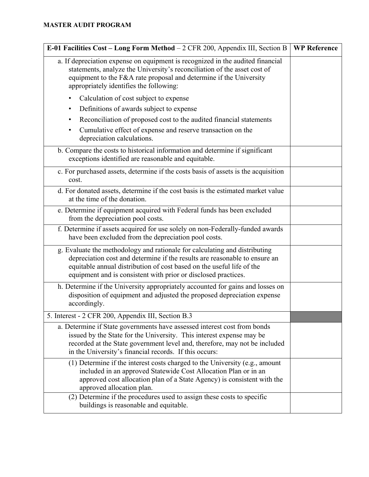| E-01 Facilities Cost - Long Form Method - 2 CFR 200, Appendix III, Section B                                                                                                                                                                                                                        | <b>WP Reference</b> |
|-----------------------------------------------------------------------------------------------------------------------------------------------------------------------------------------------------------------------------------------------------------------------------------------------------|---------------------|
| a. If depreciation expense on equipment is recognized in the audited financial<br>statements, analyze the University's reconciliation of the asset cost of<br>equipment to the F&A rate proposal and determine if the University<br>appropriately identifies the following:                         |                     |
| Calculation of cost subject to expense                                                                                                                                                                                                                                                              |                     |
| Definitions of awards subject to expense                                                                                                                                                                                                                                                            |                     |
| Reconciliation of proposed cost to the audited financial statements                                                                                                                                                                                                                                 |                     |
| Cumulative effect of expense and reserve transaction on the<br>٠<br>depreciation calculations.                                                                                                                                                                                                      |                     |
| b. Compare the costs to historical information and determine if significant<br>exceptions identified are reasonable and equitable.                                                                                                                                                                  |                     |
| c. For purchased assets, determine if the costs basis of assets is the acquisition<br>cost.                                                                                                                                                                                                         |                     |
| d. For donated assets, determine if the cost basis is the estimated market value<br>at the time of the donation.                                                                                                                                                                                    |                     |
| e. Determine if equipment acquired with Federal funds has been excluded<br>from the depreciation pool costs.                                                                                                                                                                                        |                     |
| f. Determine if assets acquired for use solely on non-Federally-funded awards<br>have been excluded from the depreciation pool costs.                                                                                                                                                               |                     |
| g. Evaluate the methodology and rationale for calculating and distributing<br>depreciation cost and determine if the results are reasonable to ensure an<br>equitable annual distribution of cost based on the useful life of the<br>equipment and is consistent with prior or disclosed practices. |                     |
| h. Determine if the University appropriately accounted for gains and losses on<br>disposition of equipment and adjusted the proposed depreciation expense<br>accordingly.                                                                                                                           |                     |
| 5. Interest - 2 CFR 200, Appendix III, Section B.3                                                                                                                                                                                                                                                  |                     |
| a. Determine if State governments have assessed interest cost from bonds<br>issued by the State for the University. This interest expense may be<br>recorded at the State government level and, therefore, may not be included<br>in the University's financial records. If this occurs:            |                     |
| (1) Determine if the interest costs charged to the University (e.g., amount<br>included in an approved Statewide Cost Allocation Plan or in an<br>approved cost allocation plan of a State Agency) is consistent with the<br>approved allocation plan.                                              |                     |
| (2) Determine if the procedures used to assign these costs to specific<br>buildings is reasonable and equitable.                                                                                                                                                                                    |                     |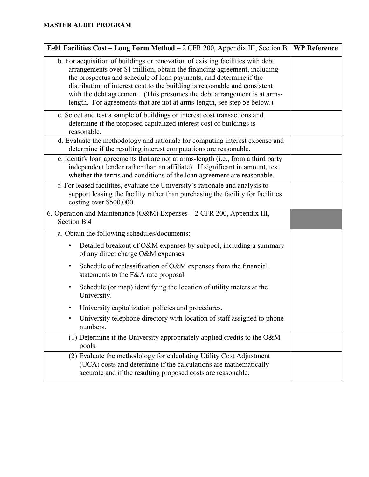| E-01 Facilities Cost - Long Form Method - 2 CFR 200, Appendix III, Section B                                                                                                                                                                                                                                                                                                                                                                                          | <b>WP Reference</b> |
|-----------------------------------------------------------------------------------------------------------------------------------------------------------------------------------------------------------------------------------------------------------------------------------------------------------------------------------------------------------------------------------------------------------------------------------------------------------------------|---------------------|
| b. For acquisition of buildings or renovation of existing facilities with debt<br>arrangements over \$1 million, obtain the financing agreement, including<br>the prospectus and schedule of loan payments, and determine if the<br>distribution of interest cost to the building is reasonable and consistent<br>with the debt agreement. (This presumes the debt arrangement is at arms-<br>length. For agreements that are not at arms-length, see step 5e below.) |                     |
| c. Select and test a sample of buildings or interest cost transactions and<br>determine if the proposed capitalized interest cost of buildings is<br>reasonable.                                                                                                                                                                                                                                                                                                      |                     |
| d. Evaluate the methodology and rationale for computing interest expense and<br>determine if the resulting interest computations are reasonable.                                                                                                                                                                                                                                                                                                                      |                     |
| e. Identify loan agreements that are not at arms-length (i.e., from a third party<br>independent lender rather than an affiliate). If significant in amount, test<br>whether the terms and conditions of the loan agreement are reasonable.                                                                                                                                                                                                                           |                     |
| f. For leased facilities, evaluate the University's rationale and analysis to<br>support leasing the facility rather than purchasing the facility for facilities<br>costing over \$500,000.                                                                                                                                                                                                                                                                           |                     |
| 6. Operation and Maintenance (O&M) Expenses - 2 CFR 200, Appendix III,<br>Section B.4                                                                                                                                                                                                                                                                                                                                                                                 |                     |
| a. Obtain the following schedules/documents:                                                                                                                                                                                                                                                                                                                                                                                                                          |                     |
| Detailed breakout of O&M expenses by subpool, including a summary<br>$\bullet$<br>of any direct charge O&M expenses.                                                                                                                                                                                                                                                                                                                                                  |                     |
| Schedule of reclassification of O&M expenses from the financial<br>٠<br>statements to the F&A rate proposal.                                                                                                                                                                                                                                                                                                                                                          |                     |
| Schedule (or map) identifying the location of utility meters at the<br>$\bullet$<br>University.                                                                                                                                                                                                                                                                                                                                                                       |                     |
| University capitalization policies and procedures.                                                                                                                                                                                                                                                                                                                                                                                                                    |                     |
| University telephone directory with location of staff assigned to phone<br>numbers.                                                                                                                                                                                                                                                                                                                                                                                   |                     |
| (1) Determine if the University appropriately applied credits to the O&M<br>pools.                                                                                                                                                                                                                                                                                                                                                                                    |                     |
| (2) Evaluate the methodology for calculating Utility Cost Adjustment<br>(UCA) costs and determine if the calculations are mathematically<br>accurate and if the resulting proposed costs are reasonable.                                                                                                                                                                                                                                                              |                     |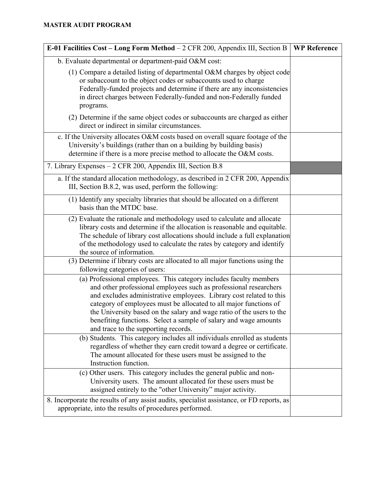| E-01 Facilities Cost – Long Form Method – 2 CFR 200, Appendix III, Section B   WP Reference                                                                                                                                                                                                                                                                                                                                                                              |  |
|--------------------------------------------------------------------------------------------------------------------------------------------------------------------------------------------------------------------------------------------------------------------------------------------------------------------------------------------------------------------------------------------------------------------------------------------------------------------------|--|
| b. Evaluate departmental or department-paid O&M cost:                                                                                                                                                                                                                                                                                                                                                                                                                    |  |
| (1) Compare a detailed listing of departmental O&M charges by object code<br>or subaccount to the object codes or subaccounts used to charge<br>Federally-funded projects and determine if there are any inconsistencies<br>in direct charges between Federally-funded and non-Federally funded<br>programs.                                                                                                                                                             |  |
| (2) Determine if the same object codes or subaccounts are charged as either<br>direct or indirect in similar circumstances.                                                                                                                                                                                                                                                                                                                                              |  |
| c. If the University allocates O&M costs based on overall square footage of the<br>University's buildings (rather than on a building by building basis)<br>determine if there is a more precise method to allocate the O&M costs.                                                                                                                                                                                                                                        |  |
| 7. Library Expenses - 2 CFR 200, Appendix III, Section B.8                                                                                                                                                                                                                                                                                                                                                                                                               |  |
| a. If the standard allocation methodology, as described in 2 CFR 200, Appendix<br>III, Section B.8.2, was used, perform the following:                                                                                                                                                                                                                                                                                                                                   |  |
| (1) Identify any specialty libraries that should be allocated on a different<br>basis than the MTDC base.                                                                                                                                                                                                                                                                                                                                                                |  |
| (2) Evaluate the rationale and methodology used to calculate and allocate<br>library costs and determine if the allocation is reasonable and equitable.<br>The schedule of library cost allocations should include a full explanation<br>of the methodology used to calculate the rates by category and identify<br>the source of information.                                                                                                                           |  |
| (3) Determine if library costs are allocated to all major functions using the<br>following categories of users:                                                                                                                                                                                                                                                                                                                                                          |  |
| (a) Professional employees. This category includes faculty members<br>and other professional employees such as professional researchers<br>and excludes administrative employees. Library cost related to this<br>category of employees must be allocated to all major functions of<br>the University based on the salary and wage ratio of the users to the<br>benefiting functions. Select a sample of salary and wage amounts<br>and trace to the supporting records. |  |
| (b) Students. This category includes all individuals enrolled as students<br>regardless of whether they earn credit toward a degree or certificate.<br>The amount allocated for these users must be assigned to the<br>Instruction function.                                                                                                                                                                                                                             |  |
| (c) Other users. This category includes the general public and non-<br>University users. The amount allocated for these users must be<br>assigned entirely to the "other University" major activity.                                                                                                                                                                                                                                                                     |  |
| 8. Incorporate the results of any assist audits, specialist assistance, or FD reports, as<br>appropriate, into the results of procedures performed.                                                                                                                                                                                                                                                                                                                      |  |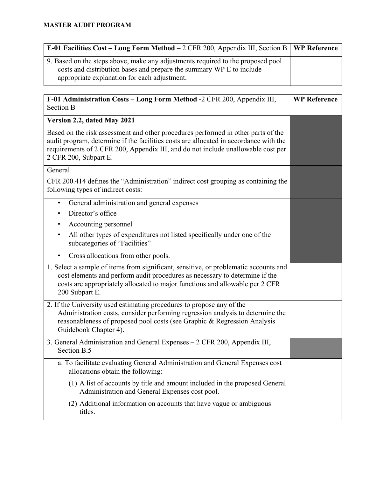| <b>E-01 Facilities Cost – Long Form Method</b> – 2 CFR 200, Appendix III, Section B   <b>WP Reference</b>                                                                                               |  |
|---------------------------------------------------------------------------------------------------------------------------------------------------------------------------------------------------------|--|
| 9. Based on the steps above, make any adjustments required to the proposed pool<br>costs and distribution bases and prepare the summary WP E to include<br>appropriate explanation for each adjustment. |  |

| F-01 Administration Costs - Long Form Method -2 CFR 200, Appendix III,<br><b>Section B</b>                                                                                                                                                                                              | <b>WP Reference</b> |
|-----------------------------------------------------------------------------------------------------------------------------------------------------------------------------------------------------------------------------------------------------------------------------------------|---------------------|
| Version 2.2, dated May 2021                                                                                                                                                                                                                                                             |                     |
| Based on the risk assessment and other procedures performed in other parts of the<br>audit program, determine if the facilities costs are allocated in accordance with the<br>requirements of 2 CFR 200, Appendix III, and do not include unallowable cost per<br>2 CFR 200, Subpart E. |                     |
| General                                                                                                                                                                                                                                                                                 |                     |
| CFR 200.414 defines the "Administration" indirect cost grouping as containing the<br>following types of indirect costs:                                                                                                                                                                 |                     |
| General administration and general expenses<br>$\bullet$                                                                                                                                                                                                                                |                     |
| Director's office                                                                                                                                                                                                                                                                       |                     |
| Accounting personnel                                                                                                                                                                                                                                                                    |                     |
| All other types of expenditures not listed specifically under one of the<br>subcategories of "Facilities"                                                                                                                                                                               |                     |
| Cross allocations from other pools.<br>٠                                                                                                                                                                                                                                                |                     |
| 1. Select a sample of items from significant, sensitive, or problematic accounts and<br>cost elements and perform audit procedures as necessary to determine if the<br>costs are appropriately allocated to major functions and allowable per 2 CFR<br>200 Subpart E.                   |                     |
| 2. If the University used estimating procedures to propose any of the<br>Administration costs, consider performing regression analysis to determine the<br>reasonableness of proposed pool costs (see Graphic & Regression Analysis<br>Guidebook Chapter 4).                            |                     |
| 3. General Administration and General Expenses - 2 CFR 200, Appendix III,<br>Section B.5                                                                                                                                                                                                |                     |
| a. To facilitate evaluating General Administration and General Expenses cost<br>allocations obtain the following:                                                                                                                                                                       |                     |
| (1) A list of accounts by title and amount included in the proposed General<br>Administration and General Expenses cost pool.                                                                                                                                                           |                     |
| (2) Additional information on accounts that have vague or ambiguous<br>titles.                                                                                                                                                                                                          |                     |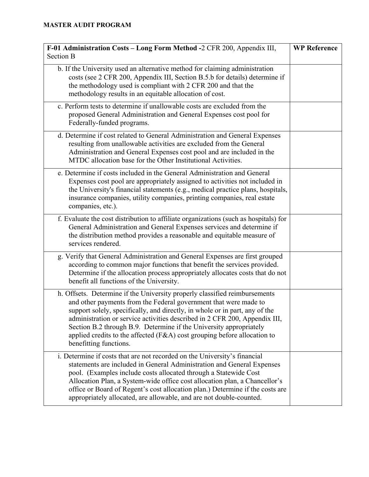| F-01 Administration Costs - Long Form Method -2 CFR 200, Appendix III,<br><b>Section B</b>                                                                                                                                                                                                                                                                                                                                                                                              | <b>WP Reference</b> |
|-----------------------------------------------------------------------------------------------------------------------------------------------------------------------------------------------------------------------------------------------------------------------------------------------------------------------------------------------------------------------------------------------------------------------------------------------------------------------------------------|---------------------|
| b. If the University used an alternative method for claiming administration<br>costs (see 2 CFR 200, Appendix III, Section B.5.b for details) determine if<br>the methodology used is compliant with 2 CFR 200 and that the<br>methodology results in an equitable allocation of cost.                                                                                                                                                                                                  |                     |
| c. Perform tests to determine if unallowable costs are excluded from the<br>proposed General Administration and General Expenses cost pool for<br>Federally-funded programs.                                                                                                                                                                                                                                                                                                            |                     |
| d. Determine if cost related to General Administration and General Expenses<br>resulting from unallowable activities are excluded from the General<br>Administration and General Expenses cost pool and are included in the<br>MTDC allocation base for the Other Institutional Activities.                                                                                                                                                                                             |                     |
| e. Determine if costs included in the General Administration and General<br>Expenses cost pool are appropriately assigned to activities not included in<br>the University's financial statements (e.g., medical practice plans, hospitals,<br>insurance companies, utility companies, printing companies, real estate<br>companies, etc.).                                                                                                                                              |                     |
| f. Evaluate the cost distribution to affiliate organizations (such as hospitals) for<br>General Administration and General Expenses services and determine if<br>the distribution method provides a reasonable and equitable measure of<br>services rendered.                                                                                                                                                                                                                           |                     |
| g. Verify that General Administration and General Expenses are first grouped<br>according to common major functions that benefit the services provided.<br>Determine if the allocation process appropriately allocates costs that do not<br>benefit all functions of the University.                                                                                                                                                                                                    |                     |
| h. Offsets. Determine if the University properly classified reimbursements<br>and other payments from the Federal government that were made to<br>support solely, specifically, and directly, in whole or in part, any of the<br>administration or service activities described in 2 CFR 200, Appendix III,<br>Section B.2 through B.9. Determine if the University appropriately<br>applied credits to the affected (F&A) cost grouping before allocation to<br>benefitting functions. |                     |
| i. Determine if costs that are not recorded on the University's financial<br>statements are included in General Administration and General Expenses<br>pool. (Examples include costs allocated through a Statewide Cost<br>Allocation Plan, a System-wide office cost allocation plan, a Chancellor's<br>office or Board of Regent's cost allocation plan.) Determine if the costs are<br>appropriately allocated, are allowable, and are not double-counted.                           |                     |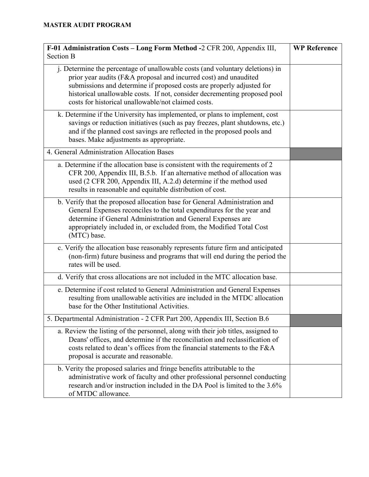| F-01 Administration Costs - Long Form Method -2 CFR 200, Appendix III,                                                                                                                                                                                                                                                                                         | <b>WP Reference</b> |
|----------------------------------------------------------------------------------------------------------------------------------------------------------------------------------------------------------------------------------------------------------------------------------------------------------------------------------------------------------------|---------------------|
| <b>Section B</b>                                                                                                                                                                                                                                                                                                                                               |                     |
| j. Determine the percentage of unallowable costs (and voluntary deletions) in<br>prior year audits (F&A proposal and incurred cost) and unaudited<br>submissions and determine if proposed costs are properly adjusted for<br>historical unallowable costs. If not, consider decrementing proposed pool<br>costs for historical unallowable/not claimed costs. |                     |
| k. Determine if the University has implemented, or plans to implement, cost<br>savings or reduction initiatives (such as pay freezes, plant shutdowns, etc.)<br>and if the planned cost savings are reflected in the proposed pools and<br>bases. Make adjustments as appropriate.                                                                             |                     |
| 4. General Administration Allocation Bases                                                                                                                                                                                                                                                                                                                     |                     |
| a. Determine if the allocation base is consistent with the requirements of 2<br>CFR 200, Appendix III, B.5.b. If an alternative method of allocation was<br>used (2 CFR 200, Appendix III, A.2.d) determine if the method used<br>results in reasonable and equitable distribution of cost.                                                                    |                     |
| b. Verify that the proposed allocation base for General Administration and<br>General Expenses reconciles to the total expenditures for the year and<br>determine if General Administration and General Expenses are<br>appropriately included in, or excluded from, the Modified Total Cost<br>(MTC) base.                                                    |                     |
| c. Verify the allocation base reasonably represents future firm and anticipated<br>(non-firm) future business and programs that will end during the period the<br>rates will be used.                                                                                                                                                                          |                     |
| d. Verify that cross allocations are not included in the MTC allocation base.                                                                                                                                                                                                                                                                                  |                     |
| e. Determine if cost related to General Administration and General Expenses<br>resulting from unallowable activities are included in the MTDC allocation<br>base for the Other Institutional Activities.                                                                                                                                                       |                     |
| 5. Departmental Administration - 2 CFR Part 200, Appendix III, Section B.6                                                                                                                                                                                                                                                                                     |                     |
| a. Review the listing of the personnel, along with their job titles, assigned to<br>Deans' offices, and determine if the reconciliation and reclassification of<br>costs related to dean's offices from the financial statements to the F&A<br>proposal is accurate and reasonable.                                                                            |                     |
| b. Verity the proposed salaries and fringe benefits attributable to the<br>administrative work of faculty and other professional personnel conducting<br>research and/or instruction included in the DA Pool is limited to the 3.6%<br>of MTDC allowance.                                                                                                      |                     |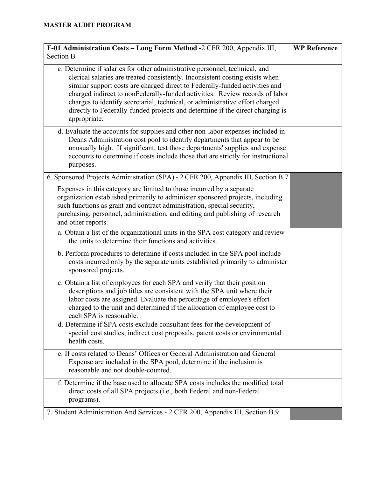| F-01 Administration Costs - Long Form Method -2 CFR 200, Appendix III,<br><b>Section B</b>                                                                                                                                                                                                                                                                                                                                                                                                                 | <b>WP Reference</b> |
|------------------------------------------------------------------------------------------------------------------------------------------------------------------------------------------------------------------------------------------------------------------------------------------------------------------------------------------------------------------------------------------------------------------------------------------------------------------------------------------------------------|---------------------|
| c. Determine if salaries for other administrative personnel, technical, and<br>clerical salaries are treated consistently. Inconsistent costing exists when<br>similar support costs are charged direct to Federally-funded activities and<br>charged indirect to nonFederally-funded activities. Review records of labor<br>charges to identify secretarial, technical, or administrative effort charged<br>directly to Federally-funded projects and determine if the direct charging is<br>appropriate. |                     |
| d. Evaluate the accounts for supplies and other non-labor expenses included in<br>Deans Administration cost pool to identify departments that appear to be<br>unusually high. If significant, test those departments' supplies and expense<br>accounts to determine if costs include those that are strictly for instructional<br>purposes.                                                                                                                                                                |                     |
| 6. Sponsored Projects Administration (SPA) - 2 CFR 200, Appendix III, Section B.7                                                                                                                                                                                                                                                                                                                                                                                                                          |                     |
| Expenses in this category are limited to those incurred by a separate<br>organization established primarily to administer sponsored projects, including<br>such functions as grant and contract administration, special security,<br>purchasing, personnel, administration, and editing and publishing of research<br>and other reports.                                                                                                                                                                   |                     |
| a. Obtain a list of the organizational units in the SPA cost category and review<br>the units to determine their functions and activities.                                                                                                                                                                                                                                                                                                                                                                 |                     |
| b. Perform procedures to determine if costs included in the SPA pool include<br>costs incurred only by the separate units established primarily to administer<br>sponsored projects.                                                                                                                                                                                                                                                                                                                       |                     |
| c. Obtain a list of employees for each SPA and verify that their position<br>descriptions and job titles are consistent with the SPA unit where their<br>labor costs are assigned. Evaluate the percentage of employee's effort<br>charged to the unit and determined if the allocation of employee cost to<br>each SPA is reasonable.                                                                                                                                                                     |                     |
| d. Determine if SPA costs exclude consultant fees for the development of<br>special cost studies, indirect cost proposals, patent costs or environmental<br>health costs.                                                                                                                                                                                                                                                                                                                                  |                     |
| e. If costs related to Deans' Offices or General Administration and General<br>Expense are included in the SPA pool, determine if the inclusion is<br>reasonable and not double-counted.                                                                                                                                                                                                                                                                                                                   |                     |
| f. Determine if the base used to allocate SPA costs includes the modified total<br>direct costs of all SPA projects (i.e., both Federal and non-Federal<br>programs).                                                                                                                                                                                                                                                                                                                                      |                     |
| 7. Student Administration And Services - 2 CFR 200, Appendix III, Section B.9                                                                                                                                                                                                                                                                                                                                                                                                                              |                     |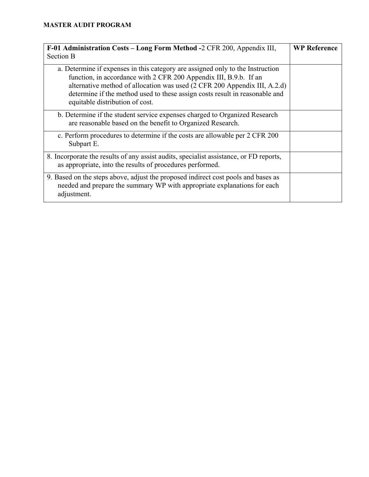| F-01 Administration Costs - Long Form Method -2 CFR 200, Appendix III,<br>Section B                                                                                                                                                                                                                                                                | <b>WP Reference</b> |
|----------------------------------------------------------------------------------------------------------------------------------------------------------------------------------------------------------------------------------------------------------------------------------------------------------------------------------------------------|---------------------|
| a. Determine if expenses in this category are assigned only to the Instruction<br>function, in accordance with 2 CFR 200 Appendix III, B.9.b. If an<br>alternative method of allocation was used (2 CFR 200 Appendix III, A.2.d)<br>determine if the method used to these assign costs result in reasonable and<br>equitable distribution of cost. |                     |
| b. Determine if the student service expenses charged to Organized Research<br>are reasonable based on the benefit to Organized Research.                                                                                                                                                                                                           |                     |
| c. Perform procedures to determine if the costs are allowable per 2 CFR 200<br>Subpart E.                                                                                                                                                                                                                                                          |                     |
| 8. Incorporate the results of any assist audits, specialist assistance, or FD reports,<br>as appropriate, into the results of procedures performed.                                                                                                                                                                                                |                     |
| 9. Based on the steps above, adjust the proposed indirect cost pools and bases as<br>needed and prepare the summary WP with appropriate explanations for each<br>adjustment.                                                                                                                                                                       |                     |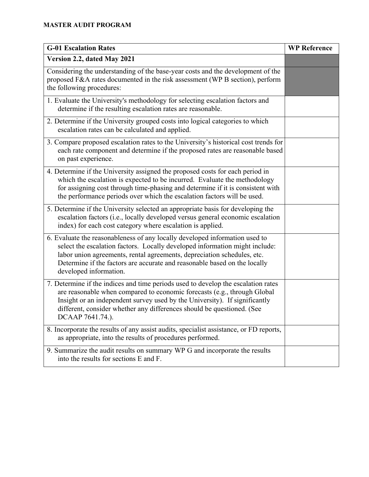| <b>G-01 Escalation Rates</b>                                                                                                                                                                                                                                                                                                                 | <b>WP Reference</b> |
|----------------------------------------------------------------------------------------------------------------------------------------------------------------------------------------------------------------------------------------------------------------------------------------------------------------------------------------------|---------------------|
| Version 2.2, dated May 2021                                                                                                                                                                                                                                                                                                                  |                     |
| Considering the understanding of the base-year costs and the development of the<br>proposed F&A rates documented in the risk assessment (WP B section), perform<br>the following procedures:                                                                                                                                                 |                     |
| 1. Evaluate the University's methodology for selecting escalation factors and<br>determine if the resulting escalation rates are reasonable.                                                                                                                                                                                                 |                     |
| 2. Determine if the University grouped costs into logical categories to which<br>escalation rates can be calculated and applied.                                                                                                                                                                                                             |                     |
| 3. Compare proposed escalation rates to the University's historical cost trends for<br>each rate component and determine if the proposed rates are reasonable based<br>on past experience.                                                                                                                                                   |                     |
| 4. Determine if the University assigned the proposed costs for each period in<br>which the escalation is expected to be incurred. Evaluate the methodology<br>for assigning cost through time-phasing and determine if it is consistent with<br>the performance periods over which the escalation factors will be used.                      |                     |
| 5. Determine if the University selected an appropriate basis for developing the<br>escalation factors (i.e., locally developed versus general economic escalation<br>index) for each cost category where escalation is applied.                                                                                                              |                     |
| 6. Evaluate the reasonableness of any locally developed information used to<br>select the escalation factors. Locally developed information might include:<br>labor union agreements, rental agreements, depreciation schedules, etc.<br>Determine if the factors are accurate and reasonable based on the locally<br>developed information. |                     |
| 7. Determine if the indices and time periods used to develop the escalation rates<br>are reasonable when compared to economic forecasts (e.g., through Global<br>Insight or an independent survey used by the University). If significantly<br>different, consider whether any differences should be questioned. (See<br>DCAAP 7641.74.).    |                     |
| 8. Incorporate the results of any assist audits, specialist assistance, or FD reports,<br>as appropriate, into the results of procedures performed.                                                                                                                                                                                          |                     |
| 9. Summarize the audit results on summary WP G and incorporate the results<br>into the results for sections E and F.                                                                                                                                                                                                                         |                     |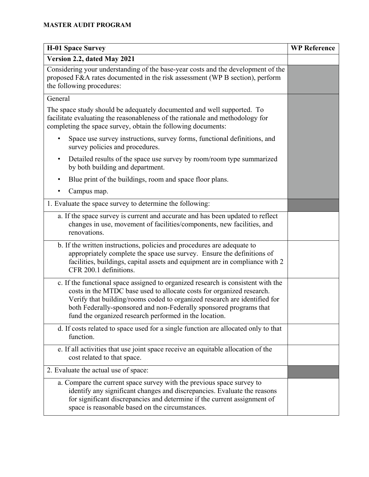| <b>H-01 Space Survey</b>                                                                                                                                                                                                                                                                                                                                               | <b>WP Reference</b> |
|------------------------------------------------------------------------------------------------------------------------------------------------------------------------------------------------------------------------------------------------------------------------------------------------------------------------------------------------------------------------|---------------------|
| Version 2.2, dated May 2021                                                                                                                                                                                                                                                                                                                                            |                     |
| Considering your understanding of the base-year costs and the development of the<br>proposed F&A rates documented in the risk assessment (WP B section), perform<br>the following procedures:                                                                                                                                                                          |                     |
| General                                                                                                                                                                                                                                                                                                                                                                |                     |
| The space study should be adequately documented and well supported. To<br>facilitate evaluating the reasonableness of the rationale and methodology for<br>completing the space survey, obtain the following documents:                                                                                                                                                |                     |
| Space use survey instructions, survey forms, functional definitions, and<br>٠<br>survey policies and procedures.                                                                                                                                                                                                                                                       |                     |
| Detailed results of the space use survey by room/room type summarized<br>$\bullet$<br>by both building and department.                                                                                                                                                                                                                                                 |                     |
| Blue print of the buildings, room and space floor plans.<br>$\bullet$                                                                                                                                                                                                                                                                                                  |                     |
| Campus map.<br>$\bullet$                                                                                                                                                                                                                                                                                                                                               |                     |
| 1. Evaluate the space survey to determine the following:                                                                                                                                                                                                                                                                                                               |                     |
| a. If the space survey is current and accurate and has been updated to reflect<br>changes in use, movement of facilities/components, new facilities, and<br>renovations.                                                                                                                                                                                               |                     |
| b. If the written instructions, policies and procedures are adequate to<br>appropriately complete the space use survey. Ensure the definitions of<br>facilities, buildings, capital assets and equipment are in compliance with 2<br>CFR 200.1 definitions.                                                                                                            |                     |
| c. If the functional space assigned to organized research is consistent with the<br>costs in the MTDC base used to allocate costs for organized research.<br>Verify that building/rooms coded to organized research are identified for<br>both Federally-sponsored and non-Federally sponsored programs that<br>fund the organized research performed in the location. |                     |
| d. If costs related to space used for a single function are allocated only to that<br>function.                                                                                                                                                                                                                                                                        |                     |
| e. If all activities that use joint space receive an equitable allocation of the<br>cost related to that space.                                                                                                                                                                                                                                                        |                     |
| 2. Evaluate the actual use of space:                                                                                                                                                                                                                                                                                                                                   |                     |
| a. Compare the current space survey with the previous space survey to<br>identify any significant changes and discrepancies. Evaluate the reasons<br>for significant discrepancies and determine if the current assignment of<br>space is reasonable based on the circumstances.                                                                                       |                     |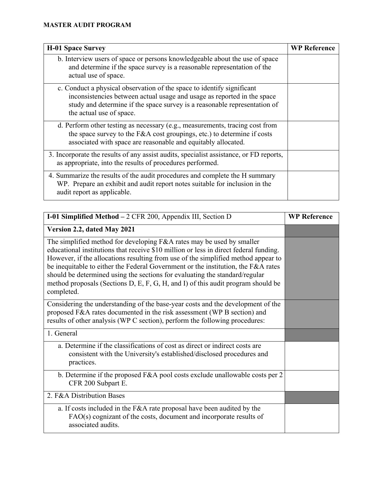| <b>H-01 Space Survey</b>                                                                                                                                                                                                                                   | <b>WP Reference</b> |
|------------------------------------------------------------------------------------------------------------------------------------------------------------------------------------------------------------------------------------------------------------|---------------------|
| b. Interview users of space or persons knowledgeable about the use of space<br>and determine if the space survey is a reasonable representation of the<br>actual use of space.                                                                             |                     |
| c. Conduct a physical observation of the space to identify significant<br>inconsistencies between actual usage and usage as reported in the space<br>study and determine if the space survey is a reasonable representation of<br>the actual use of space. |                     |
| d. Perform other testing as necessary (e.g., measurements, tracing cost from<br>the space survey to the F&A cost groupings, etc.) to determine if costs<br>associated with space are reasonable and equitably allocated.                                   |                     |
| 3. Incorporate the results of any assist audits, specialist assistance, or FD reports,<br>as appropriate, into the results of procedures performed.                                                                                                        |                     |
| 4. Summarize the results of the audit procedures and complete the H summary<br>WP. Prepare an exhibit and audit report notes suitable for inclusion in the<br>audit report as applicable.                                                                  |                     |

| I-01 Simplified Method $-2$ CFR 200, Appendix III, Section D                                                                                                                                                                                                                                                                                                                                                                                                                                                              | <b>WP Reference</b> |
|---------------------------------------------------------------------------------------------------------------------------------------------------------------------------------------------------------------------------------------------------------------------------------------------------------------------------------------------------------------------------------------------------------------------------------------------------------------------------------------------------------------------------|---------------------|
| Version 2.2, dated May 2021                                                                                                                                                                                                                                                                                                                                                                                                                                                                                               |                     |
| The simplified method for developing F&A rates may be used by smaller<br>educational institutions that receive \$10 million or less in direct federal funding.<br>However, if the allocations resulting from use of the simplified method appear to<br>be inequitable to either the Federal Government or the institution, the F&A rates<br>should be determined using the sections for evaluating the standard/regular<br>method proposals (Sections D, E, F, G, H, and I) of this audit program should be<br>completed. |                     |
| Considering the understanding of the base-year costs and the development of the<br>proposed F&A rates documented in the risk assessment (WP B section) and<br>results of other analysis (WP C section), perform the following procedures:                                                                                                                                                                                                                                                                                 |                     |
| 1. General                                                                                                                                                                                                                                                                                                                                                                                                                                                                                                                |                     |
| a. Determine if the classifications of cost as direct or indirect costs are<br>consistent with the University's established/disclosed procedures and<br>practices.                                                                                                                                                                                                                                                                                                                                                        |                     |
| b. Determine if the proposed F&A pool costs exclude unallowable costs per 2<br>CFR 200 Subpart E.                                                                                                                                                                                                                                                                                                                                                                                                                         |                     |
| 2. F&A Distribution Bases                                                                                                                                                                                                                                                                                                                                                                                                                                                                                                 |                     |
| a. If costs included in the F&A rate proposal have been audited by the<br>FAO(s) cognizant of the costs, document and incorporate results of<br>associated audits.                                                                                                                                                                                                                                                                                                                                                        |                     |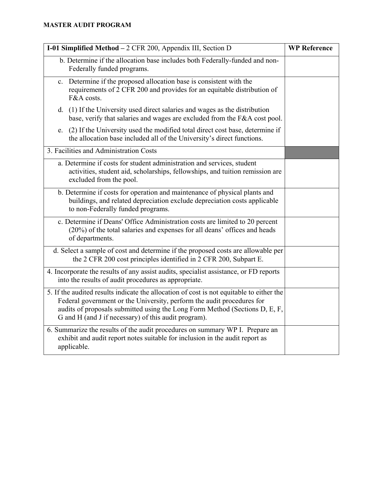| I-01 Simplified Method - 2 CFR 200, Appendix III, Section D                                                                                                                                                                                                                                               | <b>WP Reference</b> |
|-----------------------------------------------------------------------------------------------------------------------------------------------------------------------------------------------------------------------------------------------------------------------------------------------------------|---------------------|
| b. Determine if the allocation base includes both Federally-funded and non-<br>Federally funded programs.                                                                                                                                                                                                 |                     |
| c. Determine if the proposed allocation base is consistent with the<br>requirements of 2 CFR 200 and provides for an equitable distribution of<br>F&A costs.                                                                                                                                              |                     |
| d. (1) If the University used direct salaries and wages as the distribution<br>base, verify that salaries and wages are excluded from the F&A cost pool.                                                                                                                                                  |                     |
| e. (2) If the University used the modified total direct cost base, determine if<br>the allocation base included all of the University's direct functions.                                                                                                                                                 |                     |
| 3. Facilities and Administration Costs                                                                                                                                                                                                                                                                    |                     |
| a. Determine if costs for student administration and services, student<br>activities, student aid, scholarships, fellowships, and tuition remission are<br>excluded from the pool.                                                                                                                        |                     |
| b. Determine if costs for operation and maintenance of physical plants and<br>buildings, and related depreciation exclude depreciation costs applicable<br>to non-Federally funded programs.                                                                                                              |                     |
| c. Determine if Deans' Office Administration costs are limited to 20 percent<br>(20%) of the total salaries and expenses for all deans' offices and heads<br>of departments.                                                                                                                              |                     |
| d. Select a sample of cost and determine if the proposed costs are allowable per<br>the 2 CFR 200 cost principles identified in 2 CFR 200, Subpart E.                                                                                                                                                     |                     |
| 4. Incorporate the results of any assist audits, specialist assistance, or FD reports<br>into the results of audit procedures as appropriate.                                                                                                                                                             |                     |
| 5. If the audited results indicate the allocation of cost is not equitable to either the<br>Federal government or the University, perform the audit procedures for<br>audits of proposals submitted using the Long Form Method (Sections D, E, F,<br>G and H (and J if necessary) of this audit program). |                     |
| 6. Summarize the results of the audit procedures on summary WP I. Prepare an<br>exhibit and audit report notes suitable for inclusion in the audit report as<br>applicable.                                                                                                                               |                     |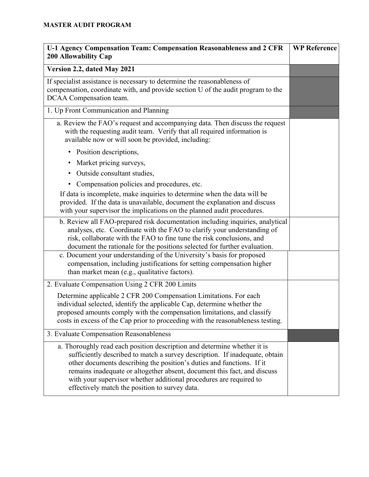| U-1 Agency Compensation Team: Compensation Reasonableness and 2 CFR<br><b>200 Allowability Cap</b>                                                                                                                                                                                                                                                                                                                                   | <b>WP Reference</b> |
|--------------------------------------------------------------------------------------------------------------------------------------------------------------------------------------------------------------------------------------------------------------------------------------------------------------------------------------------------------------------------------------------------------------------------------------|---------------------|
| Version 2.2, dated May 2021                                                                                                                                                                                                                                                                                                                                                                                                          |                     |
| If specialist assistance is necessary to determine the reasonableness of<br>compensation, coordinate with, and provide section U of the audit program to the<br>DCAA Compensation team.                                                                                                                                                                                                                                              |                     |
| 1. Up Front Communication and Planning                                                                                                                                                                                                                                                                                                                                                                                               |                     |
| a. Review the FAO's request and accompanying data. Then discuss the request<br>with the requesting audit team. Verify that all required information is<br>available now or will soon be provided, including:                                                                                                                                                                                                                         |                     |
| Position descriptions,<br>٠                                                                                                                                                                                                                                                                                                                                                                                                          |                     |
| Market pricing surveys,                                                                                                                                                                                                                                                                                                                                                                                                              |                     |
| Outside consultant studies,<br>٠                                                                                                                                                                                                                                                                                                                                                                                                     |                     |
| Compensation policies and procedures, etc.<br>٠                                                                                                                                                                                                                                                                                                                                                                                      |                     |
| If data is incomplete, make inquiries to determine when the data will be<br>provided. If the data is unavailable, document the explanation and discuss<br>with your supervisor the implications on the planned audit procedures.                                                                                                                                                                                                     |                     |
| b. Review all FAO-prepared risk documentation including inquiries, analytical<br>analyses, etc. Coordinate with the FAO to clarify your understanding of<br>risk, collaborate with the FAO to fine tune the risk conclusions, and<br>document the rationale for the positions selected for further evaluation.                                                                                                                       |                     |
| c. Document your understanding of the University's basis for proposed<br>compensation, including justifications for setting compensation higher<br>than market mean (e.g., qualitative factors).                                                                                                                                                                                                                                     |                     |
| 2. Evaluate Compensation Using 2 CFR 200 Limits                                                                                                                                                                                                                                                                                                                                                                                      |                     |
| Determine applicable 2 CFR 200 Compensation Limitations. For each<br>individual selected, identify the applicable Cap, determine whether the<br>proposed amounts comply with the compensation limitations, and classify<br>costs in excess of the Cap prior to proceeding with the reasonableness testing.                                                                                                                           |                     |
| 3. Evaluate Compensation Reasonableness                                                                                                                                                                                                                                                                                                                                                                                              |                     |
| a. Thoroughly read each position description and determine whether it is<br>sufficiently described to match a survey description. If inadequate, obtain<br>other documents describing the position's duties and functions. If it<br>remains inadequate or altogether absent, document this fact, and discuss<br>with your supervisor whether additional procedures are required to<br>effectively match the position to survey data. |                     |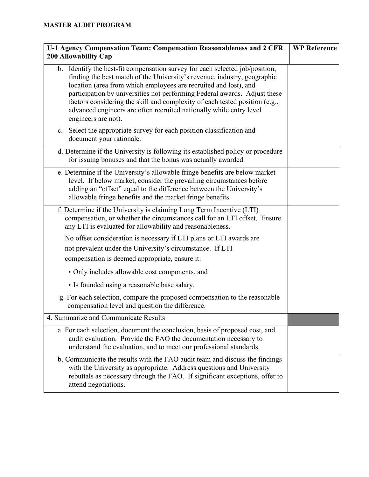| U-1 Agency Compensation Team: Compensation Reasonableness and 2 CFR<br><b>200 Allowability Cap</b>                                                                                                                                                                                                                                                                                                                                                                                     | <b>WP Reference</b> |
|----------------------------------------------------------------------------------------------------------------------------------------------------------------------------------------------------------------------------------------------------------------------------------------------------------------------------------------------------------------------------------------------------------------------------------------------------------------------------------------|---------------------|
| b. Identify the best-fit compensation survey for each selected job/position,<br>finding the best match of the University's revenue, industry, geographic<br>location (area from which employees are recruited and lost), and<br>participation by universities not performing Federal awards. Adjust these<br>factors considering the skill and complexity of each tested position (e.g.,<br>advanced engineers are often recruited nationally while entry level<br>engineers are not). |                     |
| c. Select the appropriate survey for each position classification and<br>document your rationale.                                                                                                                                                                                                                                                                                                                                                                                      |                     |
| d. Determine if the University is following its established policy or procedure<br>for issuing bonuses and that the bonus was actually awarded.                                                                                                                                                                                                                                                                                                                                        |                     |
| e. Determine if the University's allowable fringe benefits are below market<br>level. If below market, consider the prevailing circumstances before<br>adding an "offset" equal to the difference between the University's<br>allowable fringe benefits and the market fringe benefits.                                                                                                                                                                                                |                     |
| f. Determine if the University is claiming Long Term Incentive (LTI)<br>compensation, or whether the circumstances call for an LTI offset. Ensure<br>any LTI is evaluated for allowability and reasonableness.                                                                                                                                                                                                                                                                         |                     |
| No offset consideration is necessary if LTI plans or LTI awards are<br>not prevalent under the University's circumstance. If LTI<br>compensation is deemed appropriate, ensure it:                                                                                                                                                                                                                                                                                                     |                     |
| · Only includes allowable cost components, and                                                                                                                                                                                                                                                                                                                                                                                                                                         |                     |
| • Is founded using a reasonable base salary.                                                                                                                                                                                                                                                                                                                                                                                                                                           |                     |
| g. For each selection, compare the proposed compensation to the reasonable<br>compensation level and question the difference.                                                                                                                                                                                                                                                                                                                                                          |                     |
| 4. Summarize and Communicate Results                                                                                                                                                                                                                                                                                                                                                                                                                                                   |                     |
| a. For each selection, document the conclusion, basis of proposed cost, and<br>audit evaluation. Provide the FAO the documentation necessary to<br>understand the evaluation, and to meet our professional standards.                                                                                                                                                                                                                                                                  |                     |
| b. Communicate the results with the FAO audit team and discuss the findings<br>with the University as appropriate. Address questions and University<br>rebuttals as necessary through the FAO. If significant exceptions, offer to<br>attend negotiations.                                                                                                                                                                                                                             |                     |